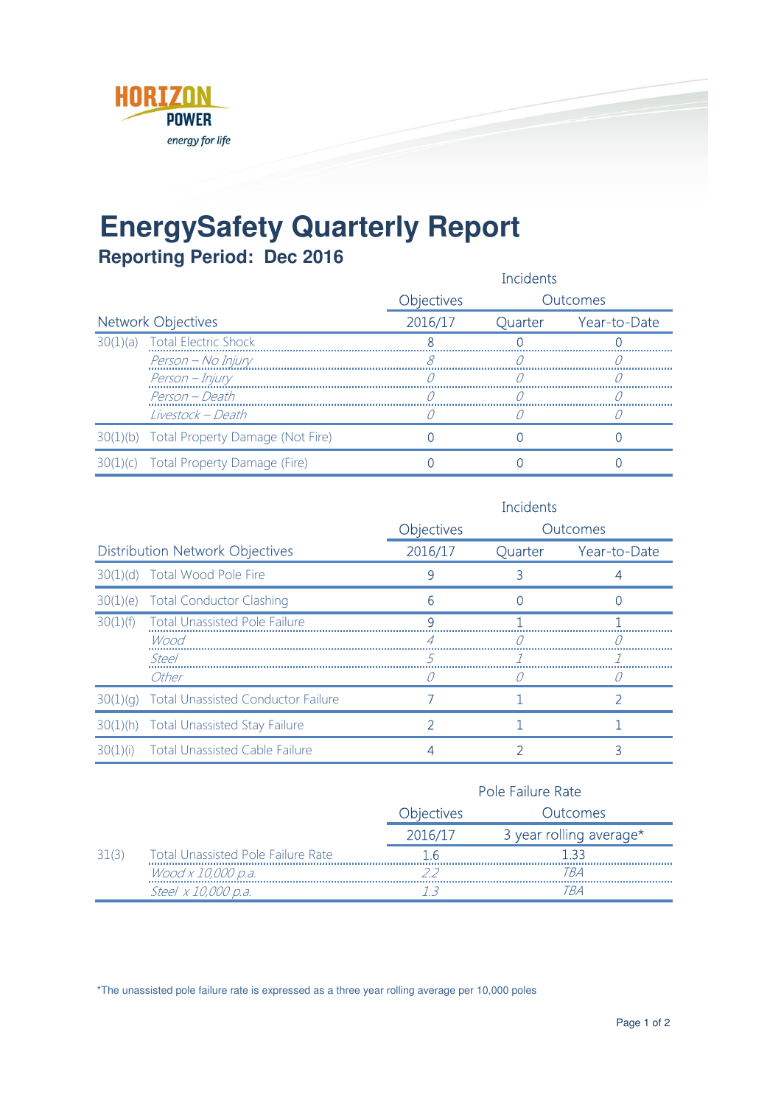

## **EnergySafety Quarterly Report**

**Reporting Period: Dec 2016**

|                           |                                           | Incidents         |         |              |
|---------------------------|-------------------------------------------|-------------------|---------|--------------|
|                           |                                           | <b>Objectives</b> |         | Outcomes     |
| <b>Network Objectives</b> |                                           | 2016/17           | Quarter | Year-to-Date |
|                           | 30(1)(a) Total Electric Shock             |                   |         |              |
|                           | Person - No Injury                        |                   |         |              |
|                           | Person – Injury                           |                   |         |              |
|                           | Person - Death                            |                   |         |              |
|                           | Livestock - Death                         |                   |         |              |
|                           | 30(1)(b) Total Property Damage (Not Fire) |                   |         |              |
|                           | 30(1)(c) Total Property Damage (Fire)     |                   |         |              |

|                                        |                                           | <b>Incidents</b>  |         |                 |
|----------------------------------------|-------------------------------------------|-------------------|---------|-----------------|
|                                        |                                           | <b>Objectives</b> |         | <b>Outcomes</b> |
| <b>Distribution Network Objectives</b> |                                           | 2016/17           | Quarter | Year-to-Date    |
|                                        | 30(1)(d) Total Wood Pole Fire             | 9                 |         |                 |
|                                        | 30(1)(e) Total Conductor Clashing         | հ                 |         |                 |
|                                        | 30(1)(f) Total Unassisted Pole Failure    | a                 |         |                 |
|                                        | Wood                                      |                   |         |                 |
|                                        | Steel                                     |                   |         |                 |
|                                        | Other                                     |                   |         |                 |
| 30(1)(q)                               | <b>Total Unassisted Conductor Failure</b> |                   |         |                 |
|                                        | 30(1)(h) Total Unassisted Stay Failure    |                   |         |                 |
|                                        | 30(1)(i) Total Unassisted Cable Failure   |                   |         |                 |

|       |                                           |                   | <b>Pole Failure Rate</b> |  |
|-------|-------------------------------------------|-------------------|--------------------------|--|
|       |                                           | <b>Objectives</b> | Outcomes                 |  |
|       |                                           | 2016/17           | 3 year rolling average*  |  |
| 31(3) | <b>Total Unassisted Pole Failure Rate</b> |                   | 133                      |  |
|       | Wood x 10,000 p.a.                        |                   | TR A                     |  |
|       | Steel x 10,000 p.a.                       |                   |                          |  |

\*The unassisted pole failure rate is expressed as a three year rolling average per 10,000 poles